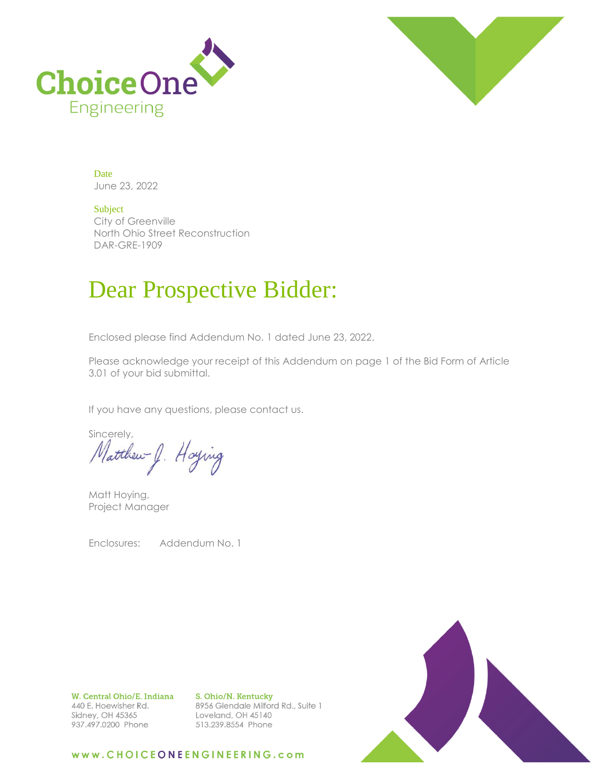



Date June 23, 2022

Subject City of Greenville North Ohio Street Reconstruction DAR-GRE-1909

## Dear Prospective Bidder:

Enclosed please find Addendum No. 1 dated June 23, 2022.

Please acknowledge your receipt of this Addendum on page 1 of the Bid Form of Article 3.01 of your bid submittal.

If you have any questions, please contact us.

sincerely,<br>Matthew J. Hoying

Matt Hoying, Project Manager

Enclosures: Addendum No. 1

W. Central Ohio/E. Indiana 440 E. Hoewisher Rd. Sidney, OH 45365 937.497.0200 Phone

S. Ohio/N. Kentucky 8956 Glendale Milford Rd., Suite 1 Loveland, OH 45140 513.239.8554 Phone



### www.CHOICEONEENGINEERING.com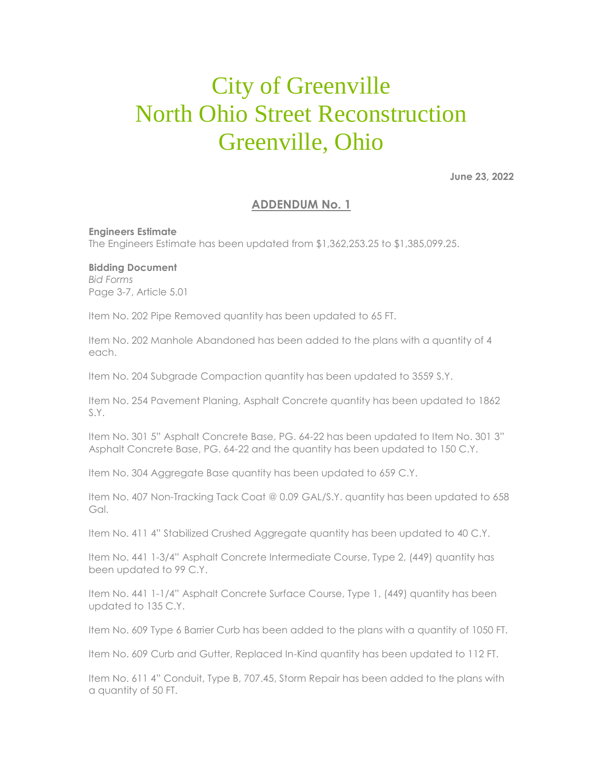# City of Greenville North Ohio Street Reconstruction Greenville, Ohio

**June 23, 2022**

## **ADDENDUM No. 1**

#### **Engineers Estimate**

The Engineers Estimate has been updated from \$1,362,253.25 to \$1,385,099.25.

#### **Bidding Document**

*Bid Forms* Page 3-7, Article 5.01

Item No. 202 Pipe Removed quantity has been updated to 65 FT.

Item No. 202 Manhole Abandoned has been added to the plans with a quantity of 4 each.

Item No. 204 Subgrade Compaction quantity has been updated to 3559 S.Y.

Item No. 254 Pavement Planing, Asphalt Concrete quantity has been updated to 1862 S.Y.

Item No. 301 5" Asphalt Concrete Base, PG. 64-22 has been updated to Item No. 301 3" Asphalt Concrete Base, PG. 64-22 and the quantity has been updated to 150 C.Y.

Item No. 304 Aggregate Base quantity has been updated to 659 C.Y.

Item No. 407 Non-Tracking Tack Coat @ 0.09 GAL/S.Y. quantity has been updated to 658 Gal.

Item No. 411 4" Stabilized Crushed Aggregate quantity has been updated to 40 C.Y.

Item No. 441 1-3/4" Asphalt Concrete Intermediate Course, Type 2, (449) quantity has been updated to 99 C.Y.

Item No. 441 1-1/4" Asphalt Concrete Surface Course, Type 1, (449) quantity has been updated to 135 C.Y.

Item No. 609 Type 6 Barrier Curb has been added to the plans with a quantity of 1050 FT.

Item No. 609 Curb and Gutter, Replaced In-Kind quantity has been updated to 112 FT.

Item No. 611 4" Conduit, Type B, 707.45, Storm Repair has been added to the plans with a quantity of 50 FT.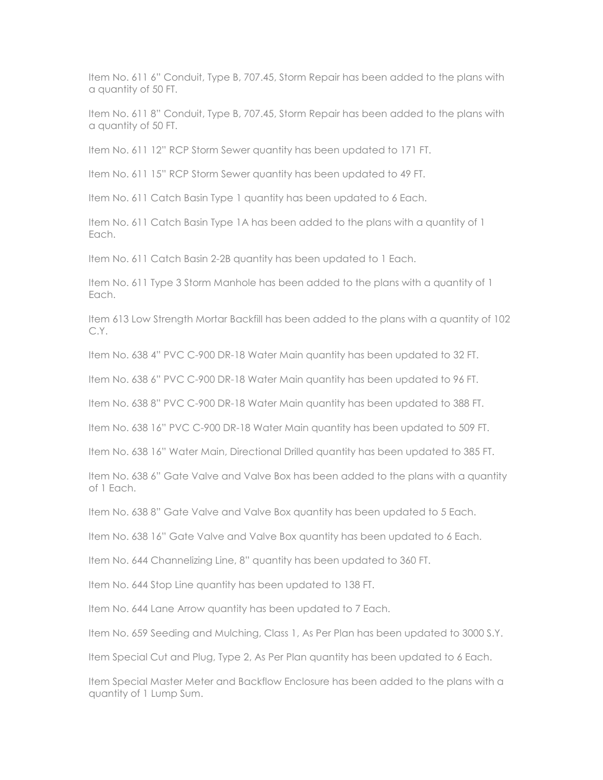Item No. 611 6" Conduit, Type B, 707.45, Storm Repair has been added to the plans with a quantity of 50 FT.

Item No. 611 8" Conduit, Type B, 707.45, Storm Repair has been added to the plans with a quantity of 50 FT.

Item No. 611 12" RCP Storm Sewer quantity has been updated to 171 FT.

Item No. 611 15" RCP Storm Sewer quantity has been updated to 49 FT.

Item No. 611 Catch Basin Type 1 quantity has been updated to 6 Each.

Item No. 611 Catch Basin Type 1A has been added to the plans with a quantity of 1 Each.

Item No. 611 Catch Basin 2-2B quantity has been updated to 1 Each.

Item No. 611 Type 3 Storm Manhole has been added to the plans with a quantity of 1 Each.

Item 613 Low Strength Mortar Backfill has been added to the plans with a quantity of 102 C.Y.

Item No. 638 4" PVC C-900 DR-18 Water Main quantity has been updated to 32 FT.

Item No. 638 6" PVC C-900 DR-18 Water Main quantity has been updated to 96 FT.

Item No. 638 8" PVC C-900 DR-18 Water Main quantity has been updated to 388 FT.

Item No. 638 16" PVC C-900 DR-18 Water Main quantity has been updated to 509 FT.

Item No. 638 16" Water Main, Directional Drilled quantity has been updated to 385 FT.

Item No. 638 6" Gate Valve and Valve Box has been added to the plans with a quantity of 1 Each.

Item No. 638 8" Gate Valve and Valve Box quantity has been updated to 5 Each.

Item No. 638 16" Gate Valve and Valve Box quantity has been updated to 6 Each.

Item No. 644 Channelizing Line, 8" quantity has been updated to 360 FT.

Item No. 644 Stop Line quantity has been updated to 138 FT.

Item No. 644 Lane Arrow quantity has been updated to 7 Each.

Item No. 659 Seeding and Mulching, Class 1, As Per Plan has been updated to 3000 S.Y.

Item Special Cut and Plug, Type 2, As Per Plan quantity has been updated to 6 Each.

Item Special Master Meter and Backflow Enclosure has been added to the plans with a quantity of 1 Lump Sum.